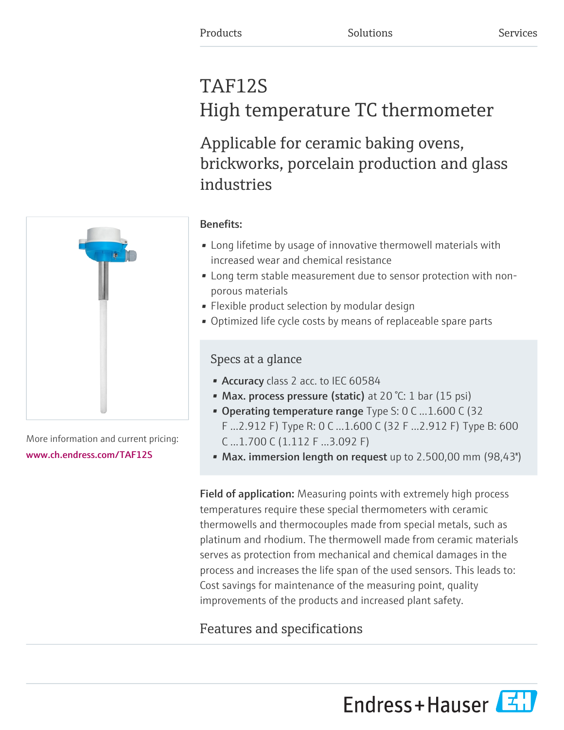# TAF12S High temperature TC thermometer

Applicable for ceramic baking ovens, brickworks, porcelain production and glass industries



More information and current pricing: [www.ch.endress.com/TAF12S](https://www.ch.endress.com/TAF12S)

### Benefits:

- Long lifetime by usage of innovative thermowell materials with increased wear and chemical resistance
- Long term stable measurement due to sensor protection with nonporous materials
- Flexible product selection by modular design
- Optimized life cycle costs by means of replaceable spare parts

### Specs at a glance

- Accuracy class 2 acc. to IEC 60584
- Max. process pressure (static) at 20 °C: 1 bar (15 psi)
- Operating temperature range  $Type S: O C ... 1.600 C (32)$ F ...2.912 F) Type R: 0 C ...1.600 C (32 F ...2.912 F) Type B: 600 C ...1.700 C (1.112 F ...3.092 F)
- Max. immersion length on request up to 2.500,00 mm (98,43")

Field of application: Measuring points with extremely high process temperatures require these special thermometers with ceramic thermowells and thermocouples made from special metals, such as platinum and rhodium. The thermowell made from ceramic materials serves as protection from mechanical and chemical damages in the process and increases the life span of the used sensors. This leads to: Cost savings for maintenance of the measuring point, quality improvements of the products and increased plant safety.

## Features and specifications

Endress+Hauser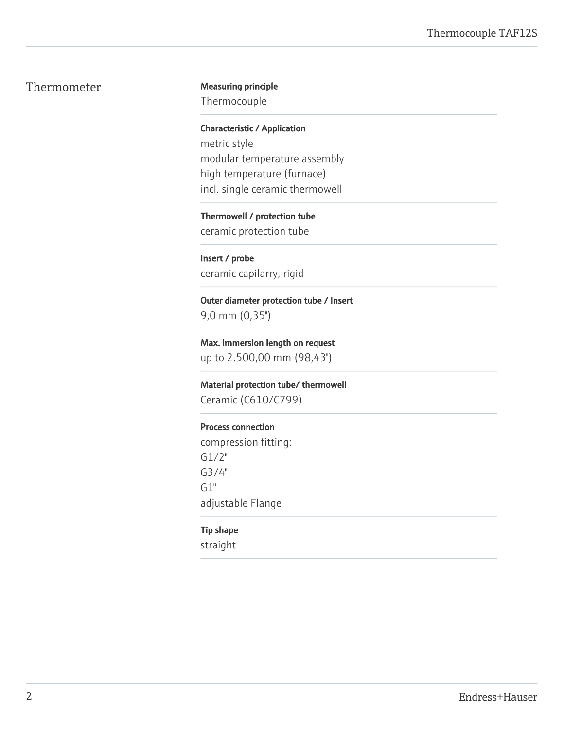#### Thermometer Measuring principle

Thermocouple

Characteristic / Application metric style modular temperature assembly high temperature (furnace) incl. single ceramic thermowell

Thermowell / protection tube ceramic protection tube

Insert / probe ceramic capilarry, rigid

Outer diameter protection tube / Insert 9,0 mm (0,35'')

Max. immersion length on request up to 2.500,00 mm (98,43'')

Material protection tube/ thermowell

Ceramic (C610/C799)

#### Process connection

compression fitting: G1/2" G3/4"  $G1"$ adjustable Flange

#### Tip shape

straight